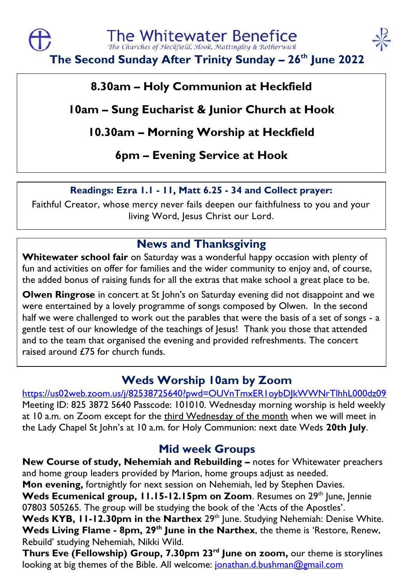

**The Second Sunday After Trinity Sunday – 26th June 2022**

## **8.30am – Holy Communion at Heckfield**

# **10am – Sung Eucharist & Junior Church at Hook**

# **10.30am – Morning Worship at Heckfield**

# **6pm – Evening Service at Hook**

### **Readings: Ezra 1.1 - 11, Matt 6.25 - 34 and Collect prayer:**

Faithful Creator, whose mercy never fails deepen our faithfulness to you and your living Word, Jesus Christ our Lord.

# **News and Thanksgiving**

**Whitewater school fair** on Saturday was a wonderful happy occasion with plenty of fun and activities on offer for families and the wider community to enjoy and, of course, the added bonus of raising funds for all the extras that make school a great place to be.

**Olwen Ringrose** in concert at St John's on Saturday evening did not disappoint and we were entertained by a lovely programme of songs composed by Olwen. In the second half we were challenged to work out the parables that were the basis of a set of songs - a gentle test of our knowledge of the teachings of Jesus! Thank you those that attended and to the team that organised the evening and provided refreshments. The concert raised around £75 for church funds.

## **Weds Worship 10am by Zoom**

#### <https://us02web.zoom.us/j/82538725640?pwd=OUVnTmxER1oybDJkWWNrTlhhL000dz09> Meeting ID: 825 3872 5640 Passcode: 101010. Wednesday morning worship is held weekly at 10 a.m. on Zoom except for the third Wednesday of the month when we will meet in the Lady Chapel St John's at 10 a.m. for Holy Communion: next date Weds **20th July**.

## **Mid week Groups**

**New Course of study, Nehemiah and Rebuilding –** notes for Whitewater preachers and home group leaders provided by Marion, home groups adjust as needed. **Mon evening,** fortnightly for next session on Nehemiah, led by Stephen Davies. **Weds Ecumenical group, 11.15-12.15pm on Zoom.** Resumes on 29th June, Jennie

07803 505265. The group will be studying the book of the 'Acts of the Apostles'.

Weds KYB, 11-12.30pm in the Narthex 29<sup>th</sup> June. Studying Nehemiah: Denise White. **Weds Living Flame - 8pm, 29th June in the Narthex**, the theme is 'Restore, Renew, Rebuild' studying Nehemiah, Nikki Wild.

**Thurs Eve (Fellowship) Group, 7.30pm 23rd June on zoom,** our theme is storylines looking at big themes of the Bible. All welcome: [jonathan.d.bushman@gmail.com](mailto:jonathan.d.bushman@gmail.com)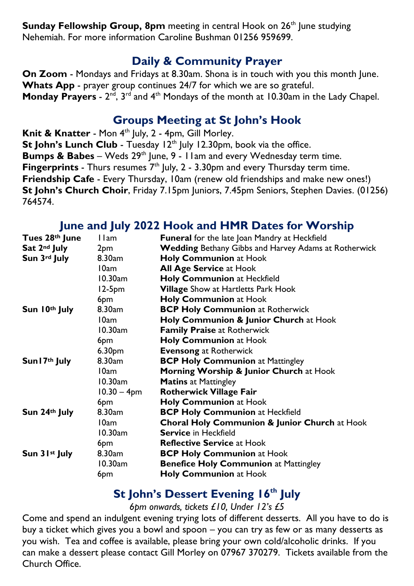**Sunday Fellowship Group, 8pm** meeting in central Hook on 26<sup>th</sup> June studying Nehemiah. For more information Caroline Bushman 01256 959699.

#### **Daily & Community Prayer**

**On Zoom** - Mondays and Fridays at 8.30am. Shona is in touch with you this month June. **Whats App** - prayer group continues 24/7 for which we are so grateful. **Monday Prayers** - 2<sup>nd</sup>, 3<sup>rd</sup> and 4<sup>th</sup> Mondays of the month at 10.30am in the Lady Chapel.

#### **Groups Meeting at St John's Hook**

**Knit & Knatter** - Mon 4<sup>th</sup> July, 2 - 4pm, Gill Morley. **St John's Lunch Club** - Tuesday 12<sup>th</sup> July 12.30pm, book via the office. **Bumps & Babes** – Weds 29<sup>th</sup> June, 9 - 11am and every Wednesday term time. **Fingerprints** - Thurs resumes 7<sup>th</sup> July, 2 - 3.30pm and every Thursday term time. **Friendship Cafe** - Every Thursday, 10am (renew old friendships and make new ones!) **St John's Church Choir**, Friday 7.15pm Juniors, 7.45pm Seniors, Stephen Davies. (01256) 764574.

#### **June and July 2022 Hook and HMR Dates for Worship**

| Tues 28th June             | 11am               | <b>Funeral</b> for the late Joan Mandry at Heckfield        |
|----------------------------|--------------------|-------------------------------------------------------------|
| Sat 2 <sup>nd</sup> July   | 2pm                | <b>Wedding</b> Bethany Gibbs and Harvey Adams at Rotherwick |
| Sun 3rd July               | 8.30am             | <b>Holy Communion at Hook</b>                               |
|                            | 10am               | <b>All Age Service at Hook</b>                              |
|                            | 10.30am            | Holy Communion at Heckfield                                 |
|                            | $12-5pm$           | <b>Village</b> Show at Hartletts Park Hook                  |
|                            | 6pm                | <b>Holy Communion at Hook</b>                               |
| Sun 10th July              | 8.30am             | <b>BCP Holy Communion at Rotherwick</b>                     |
|                            | 10am               | Holy Communion & Junior Church at Hook                      |
|                            | $10.30$ am         | <b>Family Praise at Rotherwick</b>                          |
|                            | 6pm                | <b>Holy Communion at Hook</b>                               |
|                            | 6.30 <sub>pm</sub> | <b>Evensong at Rotherwick</b>                               |
| Sun I 7 <sup>th</sup> July | 8.30am             | <b>BCP Holy Communion at Mattingley</b>                     |
|                            | 10am               | <b>Morning Worship &amp; Junior Church at Hook</b>          |
|                            | 10.30am            | <b>Matins</b> at Mattingley                                 |
|                            | $10.30 - 4pm$      | <b>Rotherwick Village Fair</b>                              |
|                            | 6pm                | Holy Communion at Hook                                      |
| Sun 24th July              | 8.30am             | <b>BCP Holy Communion at Heckfield</b>                      |
|                            | 10am               | <b>Choral Holy Communion &amp; Junior Church at Hook</b>    |
|                            | 10.30am            | <b>Service in Heckfield</b>                                 |
|                            | 6pm                | <b>Reflective Service at Hook</b>                           |
| Sun 31 <sup>st</sup> July  | 8.30am             | <b>BCP Holy Communion at Hook</b>                           |
|                            | $10.30$ am         | <b>Benefice Holy Communion at Mattingley</b>                |
|                            | 6pm                | <b>Holy Communion at Hook</b>                               |

### **St John's Dessert Evening 16th July**

*6pm onwards, tickets £10, Under 12's £5*

Come and spend an indulgent evening trying lots of different desserts. All you have to do is buy a ticket which gives you a bowl and spoon – you can try as few or as many desserts as you wish. Tea and coffee is available, please bring your own cold/alcoholic drinks. If you can make a dessert please contact Gill Morley on 07967 370279. Tickets available from the Church Office.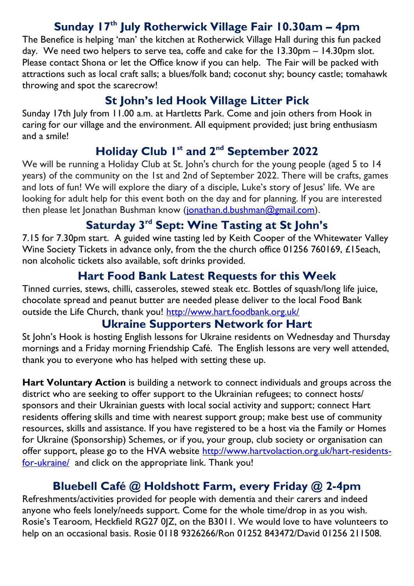### **Sunday 17th July Rotherwick Village Fair 10.30am – 4pm**

The Benefice is helping 'man' the kitchen at Rotherwick Village Hall during this fun packed day. We need two helpers to serve tea, coffe and cake for the 13.30pm – 14.30pm slot. Please contact Shona or let the Office know if you can help. The Fair will be packed with attractions such as local craft salls; a blues/folk band; coconut shy; bouncy castle; tomahawk throwing and spot the scarecrow!

### **St John's led Hook Village Litter Pick**

Sunday 17th July from 11.00 a.m. at Hartletts Park. Come and join others from Hook in caring for our village and the environment. All equipment provided; just bring enthusiasm and a smile!

# **Holiday Club 1st and 2nd September 2022**

We will be running a Holiday Club at St. John's church for the young people (aged 5 to 14 years) of the community on the 1st and 2nd of September 2022. There will be crafts, games and lots of fun! We will explore the diary of a disciple, Luke's story of lesus' life. We are looking for adult help for this event both on the day and for planning. If you are interested then please let Jonathan Bushman know [\(jonathan.d.bushman@gmail.com\)](mailto:jonathan.d.bushman@gmail.com).

## **Saturday 3rd Sept: Wine Tasting at St John's**

7.15 for 7.30pm start. A guided wine tasting led by Keith Cooper of the Whitewater Valley Wine Society Tickets in advance only, from the the church office 01256 760169, £15each, non alcoholic tickets also available, soft drinks provided.

## **Hart Food Bank Latest Requests for this Week**

Tinned curries, stews, chilli, casseroles, stewed steak etc. Bottles of squash/long life juice, chocolate spread and peanut butter are needed please deliver to the local Food Bank outside the Life Church, thank you! <http://www.hart.foodbank.org.uk/>

### **Ukraine Supporters Network for Hart**

St John's Hook is hosting English lessons for Ukraine residents on Wednesday and Thursday mornings and a Friday morning Friendship Café. The English lessons are very well attended, thank you to everyone who has helped with setting these up.

**Hart Voluntary Action** is building a network to connect individuals and groups across the district who are seeking to offer support to the Ukrainian refugees; to connect hosts/ sponsors and their Ukrainian guests with local social activity and support; connect Hart residents offering skills and time with nearest support group; make best use of community resources, skills and assistance. If you have registered to be a host via the Family or Homes for Ukraine (Sponsorship) Schemes, or if you, your group, club society or organisation can offer support, please go to the HVA website [http://www.hartvolaction.org.uk/hart-residents](http://www.hartvolaction.org.uk/hart-residents-for-ukraine/)[for-ukraine/](http://www.hartvolaction.org.uk/hart-residents-for-ukraine/) and click on the appropriate link. Thank you!

## **Bluebell Café @ Holdshott Farm, every Friday @ 2-4pm**

Refreshments/activities provided for people with dementia and their carers and indeed anyone who feels lonely/needs support. Come for the whole time/drop in as you wish. Rosie's Tearoom, Heckfield RG27 0JZ, on the B3011. We would love to have volunteers to help on an occasional basis. Rosie 0118 9326266/Ron 01252 843472/David 01256 211508.